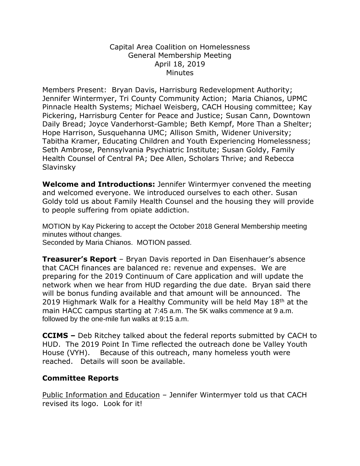## Capital Area Coalition on Homelessness General Membership Meeting April 18, 2019 **Minutes**

Members Present: Bryan Davis, Harrisburg Redevelopment Authority; Jennifer Wintermyer, Tri County Community Action; Maria Chianos, UPMC Pinnacle Health Systems; Michael Weisberg, CACH Housing committee; Kay Pickering, Harrisburg Center for Peace and Justice; Susan Cann, Downtown Daily Bread; Joyce Vanderhorst-Gamble; Beth Kempf, More Than a Shelter; Hope Harrison, Susquehanna UMC; Allison Smith, Widener University; Tabitha Kramer, Educating Children and Youth Experiencing Homelessness; Seth Ambrose, Pennsylvania Psychiatric Institute; Susan Goldy, Family Health Counsel of Central PA; Dee Allen, Scholars Thrive; and Rebecca Slavinsky

**Welcome and Introductions:** Jennifer Wintermyer convened the meeting and welcomed everyone. We introduced ourselves to each other. Susan Goldy told us about Family Health Counsel and the housing they will provide to people suffering from opiate addiction.

MOTION by Kay Pickering to accept the October 2018 General Membership meeting minutes without changes.

Seconded by Maria Chianos. MOTION passed.

**Treasurer's Report** – Bryan Davis reported in Dan Eisenhauer's absence that CACH finances are balanced re: revenue and expenses. We are preparing for the 2019 Continuum of Care application and will update the network when we hear from HUD regarding the due date. Bryan said there will be bonus funding available and that amount will be announced. The 2019 Highmark Walk for a Healthy Community will be held May 18<sup>th</sup> at the main HACC campus starting at 7:45 a.m. The 5K walks commence at 9 a.m. followed by the one-mile fun walks at 9:15 a.m.

**CCIMS –** Deb Ritchey talked about the federal reports submitted by CACH to HUD. The 2019 Point In Time reflected the outreach done be Valley Youth House (VYH). Because of this outreach, many homeless youth were reached. Details will soon be available.

## **Committee Reports**

Public Information and Education – Jennifer Wintermyer told us that CACH revised its logo. Look for it!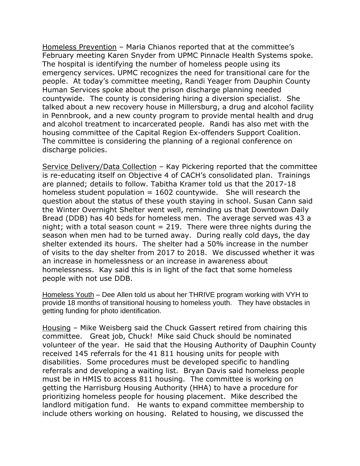Homeless Prevention – Maria Chianos reported that at the committee's February meeting Karen Snyder from UPMC Pinnacle Health Systems spoke. The hospital is identifying the number of homeless people using its emergency services. UPMC recognizes the need for transitional care for the people. At today's committee meeting, Randi Yeager from Dauphin County Human Services spoke about the prison discharge planning needed countywide. The county is considering hiring a diversion specialist. She talked about a new recovery house in Millersburg, a drug and alcohol facility in Pennbrook, and a new county program to provide mental health and drug and alcohol treatment to incarcerated people. Randi has also met with the housing committee of the Capital Region Ex-offenders Support Coalition. The committee is considering the planning of a regional conference on discharge policies.

Service Delivery/Data Collection – Kay Pickering reported that the committee is re-educating itself on Objective 4 of CACH's consolidated plan. Trainings are planned; details to follow. Tabitha Kramer told us that the 2017-18 homeless student population  $= 1602$  countywide. She will research the question about the status of these youth staying in school. Susan Cann said the Winter Overnight Shelter went well, reminding us that Downtown Daily Bread (DDB) has 40 beds for homeless men. The average served was 43 a night; with a total season count  $= 219$ . There were three nights during the season when men had to be turned away. During really cold days, the day shelter extended its hours. The shelter had a 50% increase in the number of visits to the day shelter from 2017 to 2018. We discussed whether it was an increase in homelessness or an increase in awareness about homelessness. Kay said this is in light of the fact that some homeless people with not use DDB.

Homeless Youth – Dee Allen told us about her THRIVE program working with VYH to provide 18 months of transitional housing to homeless youth. They have obstacles in getting funding for photo identification.

Housing – Mike Weisberg said the Chuck Gassert retired from chairing this committee. Great job, Chuck! Mike said Chuck should be nominated volunteer of the year. He said that the Housing Authority of Dauphin County received 145 referrals for the 41 811 housing units for people with disabilities. Some procedures must be developed specific to handling referrals and developing a waiting list. Bryan Davis said homeless people must be in HMIS to access 811 housing. The committee is working on getting the Harrisburg Housing Authority (HHA) to have a procedure for prioritizing homeless people for housing placement. Mike described the landlord mitigation fund. He wants to expand committee membership to include others working on housing. Related to housing, we discussed the